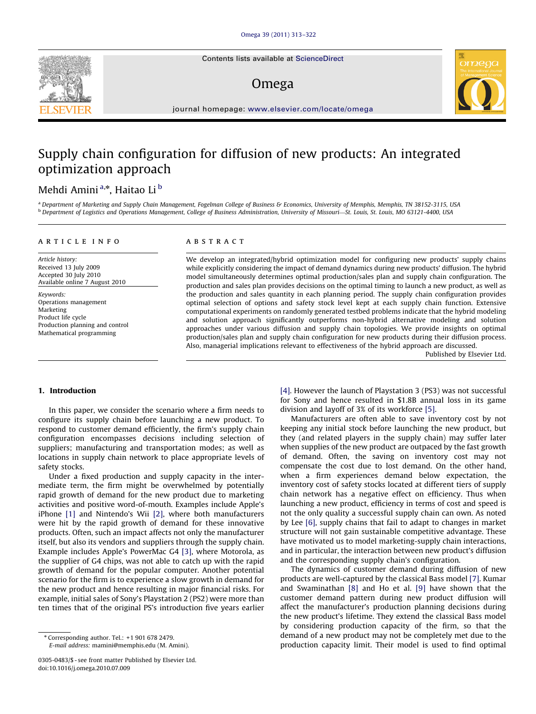Contents lists available at ScienceDirect

## Omega



journal homepage: [www.elsevier.com/locate/omega](www.elsevier.com/ome)

# Supply chain configuration for diffusion of new products: An integrated optimization approach

### Mehdi Amini<sup>a,</sup>\*, Haitao Li <sup>b</sup>

<sup>a</sup> Department of Marketing and Supply Chain Management, Fogelman College of Business & Economics, University of Memphis, Memphis, TN 38152-3115, USA <sup>b</sup> Department of Logistics and Operations Management, College of Business Administration, University of Missouri—St. Louis, St. Louis, MO 63121-4400, USA

#### article info

Article history: Received 13 July 2009 Accepted 30 July 2010 Available online 7 August 2010

Keywords: Operations management Marketing Product life cycle Production planning and control Mathematical programming

#### **ABSTRACT**

We develop an integrated/hybrid optimization model for configuring new products' supply chains while explicitly considering the impact of demand dynamics during new products' diffusion. The hybrid model simultaneously determines optimal production/sales plan and supply chain configuration. The production and sales plan provides decisions on the optimal timing to launch a new product, as well as the production and sales quantity in each planning period. The supply chain configuration provides optimal selection of options and safety stock level kept at each supply chain function. Extensive computational experiments on randomly generated testbed problems indicate that the hybrid modeling and solution approach significantly outperforms non-hybrid alternative modeling and solution approaches under various diffusion and supply chain topologies. We provide insights on optimal production/sales plan and supply chain configuration for new products during their diffusion process. Also, managerial implications relevant to effectiveness of the hybrid approach are discussed.

Published by Elsevier Ltd.

#### 1. Introduction

In this paper, we consider the scenario where a firm needs to configure its supply chain before launching a new product. To respond to customer demand efficiently, the firm's supply chain configuration encompasses decisions including selection of suppliers; manufacturing and transportation modes; as well as locations in supply chain network to place appropriate levels of safety stocks.

Under a fixed production and supply capacity in the intermediate term, the firm might be overwhelmed by potentially rapid growth of demand for the new product due to marketing activities and positive word-of-mouth. Examples include Apple's iPhone [\[1\]](#page--1-0) and Nintendo's Wii [\[2\]](#page--1-0), where both manufacturers were hit by the rapid growth of demand for these innovative products. Often, such an impact affects not only the manufacturer itself, but also its vendors and suppliers through the supply chain. Example includes Apple's PowerMac G4 [\[3\],](#page--1-0) where Motorola, as the supplier of G4 chips, was not able to catch up with the rapid growth of demand for the popular computer. Another potential scenario for the firm is to experience a slow growth in demand for the new product and hence resulting in major financial risks. For example, initial sales of Sony's Playstation 2 (PS2) were more than ten times that of the original PS's introduction five years earlier

E-mail address: [mamini@memphis.edu \(M. Amini\).](mailto:mamini@memphis.edu)

[\[4\]](#page--1-0). However the launch of Playstation 3 (PS3) was not successful for Sony and hence resulted in \$1.8B annual loss in its game division and layoff of 3% of its workforce [\[5\]](#page--1-0).

Manufacturers are often able to save inventory cost by not keeping any initial stock before launching the new product, but they (and related players in the supply chain) may suffer later when supplies of the new product are outpaced by the fast growth of demand. Often, the saving on inventory cost may not compensate the cost due to lost demand. On the other hand, when a firm experiences demand below expectation, the inventory cost of safety stocks located at different tiers of supply chain network has a negative effect on efficiency. Thus when launching a new product, efficiency in terms of cost and speed is not the only quality a successful supply chain can own. As noted by Lee [\[6\]](#page--1-0), supply chains that fail to adapt to changes in market structure will not gain sustainable competitive advantage. These have motivated us to model marketing-supply chain interactions, and in particular, the interaction between new product's diffusion and the corresponding supply chain's configuration.

The dynamics of customer demand during diffusion of new products are well-captured by the classical Bass model [\[7\].](#page--1-0) Kumar and Swaminathan [\[8\]](#page--1-0) and Ho et al. [\[9\]](#page--1-0) have shown that the customer demand pattern during new product diffusion will affect the manufacturer's production planning decisions during the new product's lifetime. They extend the classical Bass model by considering production capacity of the firm, so that the demand of a new product may not be completely met due to the production capacity limit. Their model is used to find optimal



<sup>n</sup> Corresponding author. Tel.: +1 901 678 2479.

<sup>0305-0483/\$ -</sup> see front matter Published by Elsevier Ltd. doi:[10.1016/j.omega.2010.07.009](dx.doi.org/10.1016/j.omega.2010.07.009)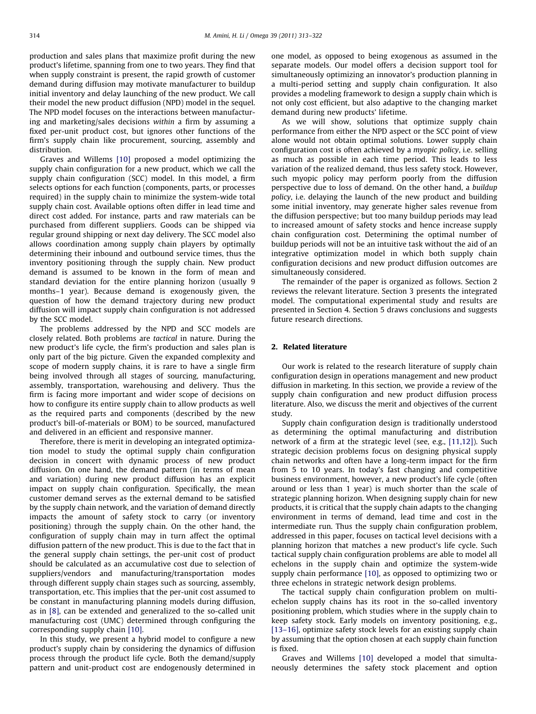production and sales plans that maximize profit during the new product's lifetime, spanning from one to two years. They find that when supply constraint is present, the rapid growth of customer demand during diffusion may motivate manufacturer to buildup initial inventory and delay launching of the new product. We call their model the new product diffusion (NPD) model in the sequel. The NPD model focuses on the interactions between manufacturing and marketing/sales decisions within a firm by assuming a fixed per-unit product cost, but ignores other functions of the firm's supply chain like procurement, sourcing, assembly and distribution.

Graves and Willems [\[10\]](#page--1-0) proposed a model optimizing the supply chain configuration for a new product, which we call the supply chain configuration (SCC) model. In this model, a firm selects options for each function (components, parts, or processes required) in the supply chain to minimize the system-wide total supply chain cost. Available options often differ in lead time and direct cost added. For instance, parts and raw materials can be purchased from different suppliers. Goods can be shipped via regular ground shipping or next day delivery. The SCC model also allows coordination among supply chain players by optimally determining their inbound and outbound service times, thus the inventory positioning through the supply chain. New product demand is assumed to be known in the form of mean and standard deviation for the entire planning horizon (usually 9 months–1 year). Because demand is exogenously given, the question of how the demand trajectory during new product diffusion will impact supply chain configuration is not addressed by the SCC model.

The problems addressed by the NPD and SCC models are closely related. Both problems are tactical in nature. During the new product's life cycle, the firm's production and sales plan is only part of the big picture. Given the expanded complexity and scope of modern supply chains, it is rare to have a single firm being involved through all stages of sourcing, manufacturing, assembly, transportation, warehousing and delivery. Thus the firm is facing more important and wider scope of decisions on how to configure its entire supply chain to allow products as well as the required parts and components (described by the new product's bill-of-materials or BOM) to be sourced, manufactured and delivered in an efficient and responsive manner.

Therefore, there is merit in developing an integrated optimization model to study the optimal supply chain configuration decision in concert with dynamic process of new product diffusion. On one hand, the demand pattern (in terms of mean and variation) during new product diffusion has an explicit impact on supply chain configuration. Specifically, the mean customer demand serves as the external demand to be satisfied by the supply chain network, and the variation of demand directly impacts the amount of safety stock to carry (or inventory positioning) through the supply chain. On the other hand, the configuration of supply chain may in turn affect the optimal diffusion pattern of the new product. This is due to the fact that in the general supply chain settings, the per-unit cost of product should be calculated as an accumulative cost due to selection of suppliers/vendors and manufacturing/transportation modes through different supply chain stages such as sourcing, assembly, transportation, etc. This implies that the per-unit cost assumed to be constant in manufacturing planning models during diffusion, as in [\[8\],](#page--1-0) can be extended and generalized to the so-called unit manufacturing cost (UMC) determined through configuring the corresponding supply chain [\[10\].](#page--1-0)

In this study, we present a hybrid model to configure a new product's supply chain by considering the dynamics of diffusion process through the product life cycle. Both the demand/supply pattern and unit-product cost are endogenously determined in one model, as opposed to being exogenous as assumed in the separate models. Our model offers a decision support tool for simultaneously optimizing an innovator's production planning in a multi-period setting and supply chain configuration. It also provides a modeling framework to design a supply chain which is not only cost efficient, but also adaptive to the changing market demand during new products' lifetime.

As we will show, solutions that optimize supply chain performance from either the NPD aspect or the SCC point of view alone would not obtain optimal solutions. Lower supply chain configuration cost is often achieved by a myopic policy, i.e. selling as much as possible in each time period. This leads to less variation of the realized demand, thus less safety stock. However, such myopic policy may perform poorly from the diffusion perspective due to loss of demand. On the other hand, a buildup policy, i.e. delaying the launch of the new product and building some initial inventory, may generate higher sales revenue from the diffusion perspective; but too many buildup periods may lead to increased amount of safety stocks and hence increase supply chain configuration cost. Determining the optimal number of buildup periods will not be an intuitive task without the aid of an integrative optimization model in which both supply chain configuration decisions and new product diffusion outcomes are simultaneously considered.

The remainder of the paper is organized as follows. Section 2 reviews the relevant literature. Section 3 presents the integrated model. The computational experimental study and results are presented in Section 4. Section 5 draws conclusions and suggests future research directions.

#### 2. Related literature

Our work is related to the research literature of supply chain configuration design in operations management and new product diffusion in marketing. In this section, we provide a review of the supply chain configuration and new product diffusion process literature. Also, we discuss the merit and objectives of the current study.

Supply chain configuration design is traditionally understood as determining the optimal manufacturing and distribution network of a firm at the strategic level (see, e.g., [\[11,12\]](#page--1-0)). Such strategic decision problems focus on designing physical supply chain networks and often have a long-term impact for the firm from 5 to 10 years. In today's fast changing and competitive business environment, however, a new product's life cycle (often around or less than 1 year) is much shorter than the scale of strategic planning horizon. When designing supply chain for new products, it is critical that the supply chain adapts to the changing environment in terms of demand, lead time and cost in the intermediate run. Thus the supply chain configuration problem, addressed in this paper, focuses on tactical level decisions with a planning horizon that matches a new product's life cycle. Such tactical supply chain configuration problems are able to model all echelons in the supply chain and optimize the system-wide supply chain performance [\[10\]](#page--1-0), as opposed to optimizing two or three echelons in strategic network design problems.

The tactical supply chain configuration problem on multiechelon supply chains has its root in the so-called inventory positioning problem, which studies where in the supply chain to keep safety stock. Early models on inventory positioning, e.g., [\[13–16\],](#page--1-0) optimize safety stock levels for an existing supply chain by assuming that the option chosen at each supply chain function is fixed.

Graves and Willems [\[10\]](#page--1-0) developed a model that simultaneously determines the safety stock placement and option